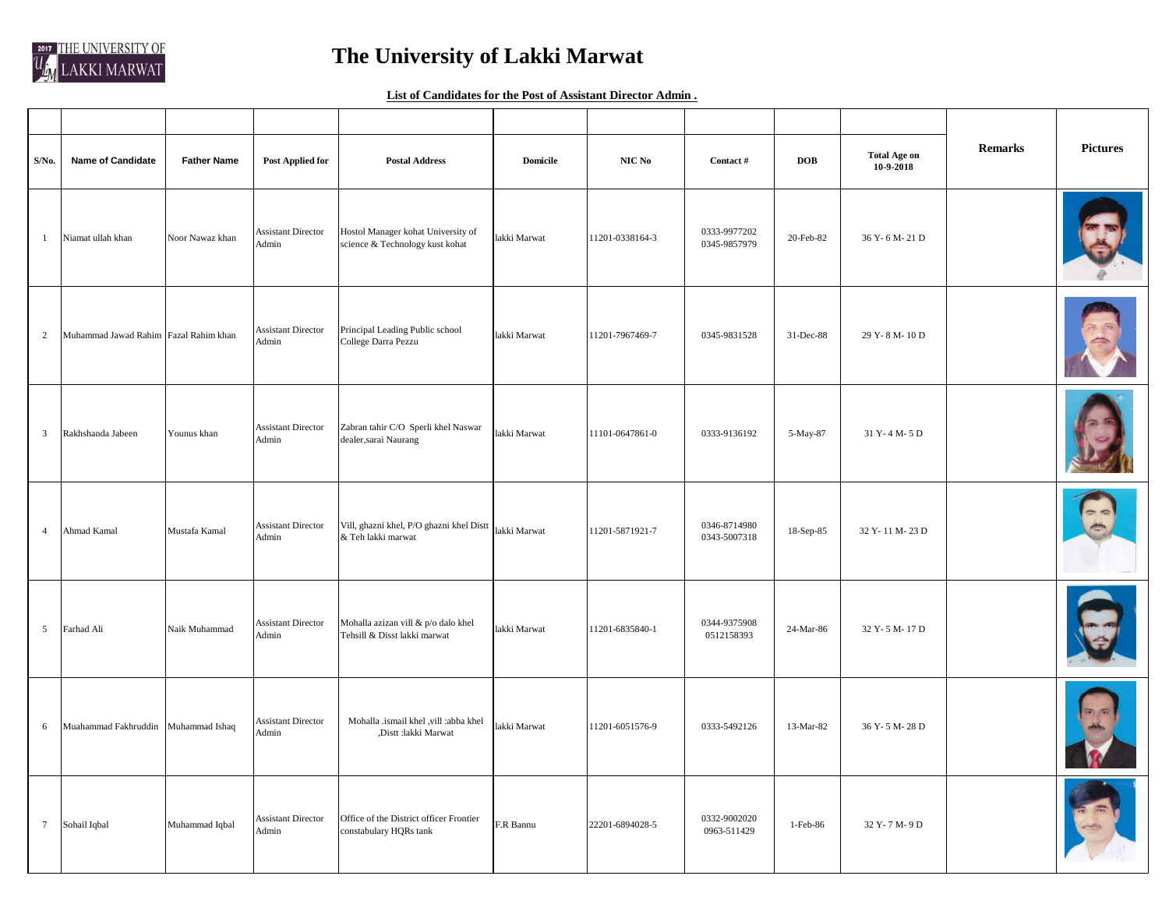

## **The University of Lakki Marwat**

**List of Candidates for the Post of Assistant Director Admin .**

| S/No.           | <b>Name of Candidate</b>              | <b>Father Name</b> | <b>Post Applied for</b>            | <b>Postal Address</b>                                                 | <b>Domicile</b> | NIC No          | Contact #                    | <b>DOB</b> | <b>Total Age on</b><br>10-9-2018 | <b>Remarks</b> | <b>Pictures</b> |
|-----------------|---------------------------------------|--------------------|------------------------------------|-----------------------------------------------------------------------|-----------------|-----------------|------------------------------|------------|----------------------------------|----------------|-----------------|
| $\mathbf{1}$    | Niamat ullah khan                     | Noor Nawaz khan    | <b>Assistant Director</b><br>Admin | Hostol Manager kohat University of<br>science & Technology kust kohat | akki Marwat     | 11201-0338164-3 | 0333-9977202<br>0345-9857979 | 20-Feb-82  | 36 Y-6 M-21 D                    |                |                 |
| $\overline{2}$  | Muhammad Jawad Rahim Fazal Rahim khan |                    | <b>Assistant Director</b><br>Admin | Principal Leading Public school<br>College Darra Pezzu                | lakki Marwat    | 11201-7967469-7 | 0345-9831528                 | 31-Dec-88  | 29 Y-8 M-10 D                    |                |                 |
| $\overline{3}$  | Rakhshanda Jabeen                     | Younus khan        | <b>Assistant Director</b><br>Admin | Zabran tahir C/O Sperli khel Naswar<br>dealer, sarai Naurang          | lakki Marwat    | 11101-0647861-0 | 0333-9136192                 | 5-May-87   | 31 Y-4 M-5 D                     |                |                 |
| $\overline{4}$  | Ahmad Kamal                           | Mustafa Kamal      | <b>Assistant Director</b><br>Admin | Vill, ghazni khel, P/O ghazni khel Distt<br>$\&$ Teh lakki marwat     | lakki Marwat    | 11201-5871921-7 | 0346-8714980<br>0343-5007318 | 18-Sep-85  | 32 Y-11 M-23 D                   |                |                 |
| 5               | Farhad Ali                            | Naik Muhammad      | <b>Assistant Director</b><br>Admin | Mohalla azizan vill & p/o dalo khel<br>Tehsill & Disst lakki marwat   | lakki Marwat    | 11201-6835840-1 | 0344-9375908<br>0512158393   | 24-Mar-86  | 32 Y-5 M-17 D                    |                |                 |
| 6               | Muahammad Fakhruddin                  | Muhammad Ishaq     | <b>Assistant Director</b><br>Admin | Mohalla .ismail khel , vill :abba khel<br>,Distt :lakki Marwat        | akki Marwat     | 11201-6051576-9 | 0333-5492126                 | 13-Mar-82  | 36 Y-5 M-28 D                    |                |                 |
| $7\phantom{.0}$ | Sohail Iqbal                          | Muhammad Iqbal     | <b>Assistant Director</b><br>Admin | Office of the District officer Frontier<br>constabulary HQRs tank     | F.R Bannu       | 22201-6894028-5 | 0332-9002020<br>0963-511429  | 1-Feb-86   | 32 Y-7 M-9 D                     |                |                 |